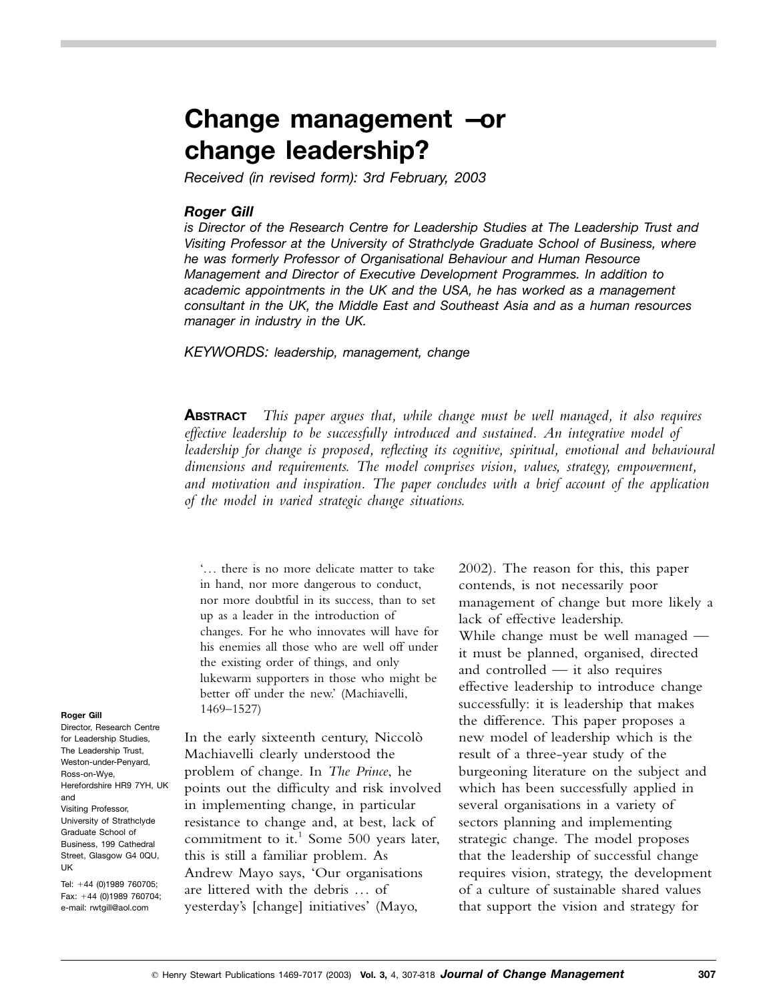# **Change management – or change leadership?**

*Received (in revised form): 3rd February, 2003*

#### *Roger Gill*

*is Director of the Research Centre for Leadership Studies at The Leadership Trust and Visiting Professor at the University of Strathclyde Graduate School of Business, where he was formerly Professor of Organisational Behaviour and Human Resource Management and Director of Executive Development Programmes. In addition to academic appointments in the UK and the USA, he has worked as a management consultant in the UK, the Middle East and Southeast Asia and as a human resources manager in industry in the UK.*

*KEYWORDS: leadership, management, change*

**ABSTRACT** *This paper argues that, while change must be well managed, it also requires effective leadership to be successfully introduced and sustained. An integrative model of leadership for change is proposed, reflecting its cognitive, spiritual, emotional and behavioural dimensions and requirements. The model comprises vision, values, strategy, empowerment, and motivation and inspiration. The paper concludes with a brief account of the application of the model in varied strategic change situations.*

'... there is no more delicate matter to take in hand, nor more dangerous to conduct, nor more doubtful in its success, than to set up as a leader in the introduction of changes. For he who innovates will have for his enemies all those who are well off under the existing order of things, and only lukewarm supporters in those who might be better off under the new.' (Machiavelli, 1469–1527)

**Roger Gill** Director, Research Centre for Leadership Studies, The Leadership Trust, Weston-under-Penyard, Ross-on-Wye, Herefordshire HR9 7YH, UK and Visiting Professor, University of Strathclyde Graduate School of Business, 199 Cathedral Street, Glasgow G4 0QU. UK

Tel: 44 (0)1989 760705; Fax: 44 (0)1989 760704; e-mail: rwtgill@aol.com

In the early sixteenth century, Niccolò Machiavelli clearly understood the problem of change. In *The Prince*, he points out the difficulty and risk involved in implementing change, in particular resistance to change and, at best, lack of commitment to it.<sup>1</sup> Some 500 years later, this is still a familiar problem. As Andrew Mayo says, 'Our organisations are littered with the debris ... of yesterday's [change] initiatives' (Mayo,

2002). The reason for this, this paper contends, is not necessarily poor management of change but more likely a lack of effective leadership. While change must be well managed it must be planned, organised, directed and controlled — it also requires effective leadership to introduce change successfully: it is leadership that makes the difference. This paper proposes a new model of leadership which is the result of a three-year study of the burgeoning literature on the subject and which has been successfully applied in several organisations in a variety of sectors planning and implementing strategic change. The model proposes that the leadership of successful change requires vision, strategy, the development of a culture of sustainable shared values that support the vision and strategy for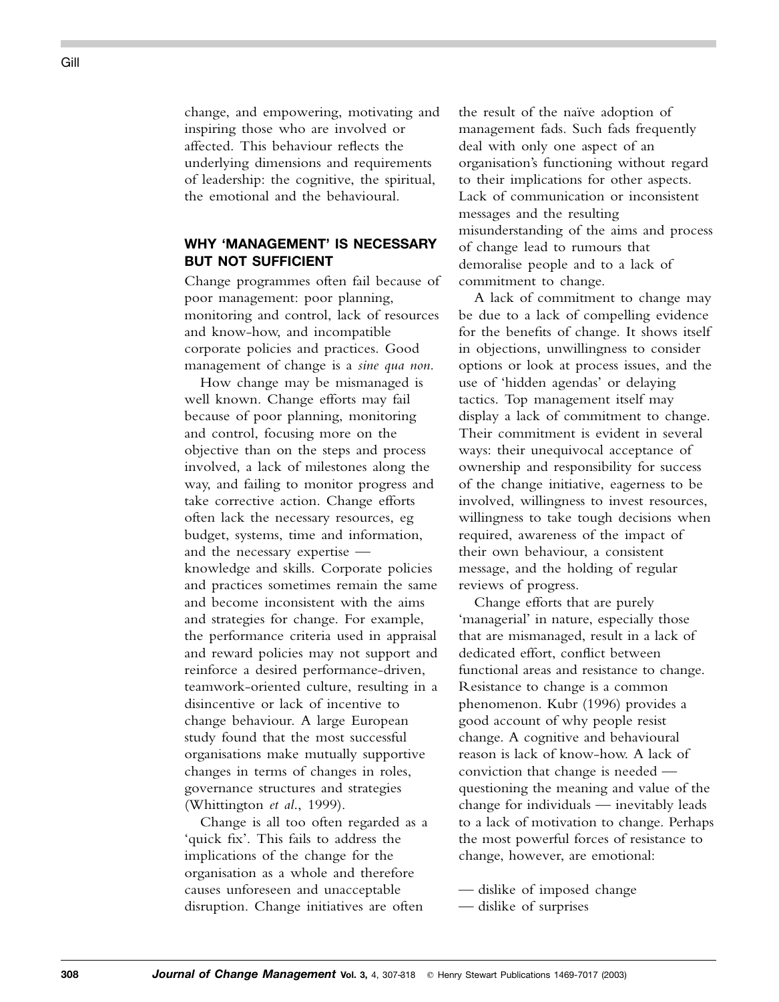change, and empowering, motivating and inspiring those who are involved or affected. This behaviour reflects the underlying dimensions and requirements of leadership: the cognitive, the spiritual, the emotional and the behavioural.

### **WHY 'MANAGEMENT' IS NECESSARY BUT NOT SUFFICIENT**

Change programmes often fail because of poor management: poor planning, monitoring and control, lack of resources and know-how, and incompatible corporate policies and practices. Good management of change is a *sine qua non*.

How change may be mismanaged is well known. Change efforts may fail because of poor planning, monitoring and control, focusing more on the objective than on the steps and process involved, a lack of milestones along the way, and failing to monitor progress and take corrective action. Change efforts often lack the necessary resources, eg budget, systems, time and information, and the necessary expertise knowledge and skills. Corporate policies and practices sometimes remain the same and become inconsistent with the aims and strategies for change. For example, the performance criteria used in appraisal and reward policies may not support and reinforce a desired performance-driven, teamwork-oriented culture, resulting in a disincentive or lack of incentive to change behaviour. A large European study found that the most successful organisations make mutually supportive changes in terms of changes in roles, governance structures and strategies (Whittington *et al*., 1999).

Change is all too often regarded as a 'quick fix'. This fails to address the implications of the change for the organisation as a whole and therefore causes unforeseen and unacceptable disruption. Change initiatives are often

the result of the naïve adoption of management fads. Such fads frequently deal with only one aspect of an organisation's functioning without regard to their implications for other aspects. Lack of communication or inconsistent messages and the resulting misunderstanding of the aims and process of change lead to rumours that demoralise people and to a lack of commitment to change.

A lack of commitment to change may be due to a lack of compelling evidence for the benefits of change. It shows itself in objections, unwillingness to consider options or look at process issues, and the use of 'hidden agendas' or delaying tactics. Top management itself may display a lack of commitment to change. Their commitment is evident in several ways: their unequivocal acceptance of ownership and responsibility for success of the change initiative, eagerness to be involved, willingness to invest resources, willingness to take tough decisions when required, awareness of the impact of their own behaviour, a consistent message, and the holding of regular reviews of progress.

Change efforts that are purely 'managerial' in nature, especially those that are mismanaged, result in a lack of dedicated effort, conflict between functional areas and resistance to change. Resistance to change is a common phenomenon. Kubr (1996) provides a good account of why people resist change. A cognitive and behavioural reason is lack of know-how. A lack of conviction that change is needed questioning the meaning and value of the change for individuals — inevitably leads to a lack of motivation to change. Perhaps the most powerful forces of resistance to change, however, are emotional:

— dislike of imposed change — dislike of surprises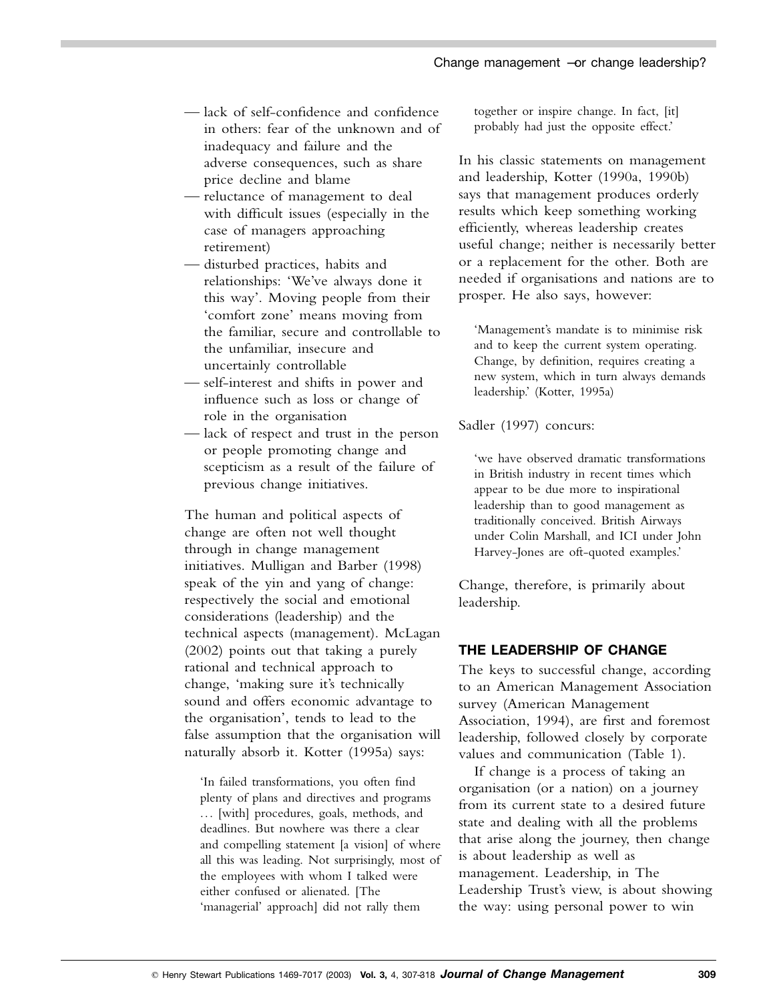# Change management - or change leadership?

- lack of self-confidence and confidence in others: fear of the unknown and of inadequacy and failure and the adverse consequences, such as share price decline and blame
- reluctance of management to deal with difficult issues (especially in the case of managers approaching retirement)
- disturbed practices, habits and relationships: 'We've always done it this way'. Moving people from their 'comfort zone' means moving from the familiar, secure and controllable to the unfamiliar, insecure and uncertainly controllable
- self-interest and shifts in power and influence such as loss or change of role in the organisation
- lack of respect and trust in the person or people promoting change and scepticism as a result of the failure of previous change initiatives.

The human and political aspects of change are often not well thought through in change management initiatives. Mulligan and Barber (1998) speak of the yin and yang of change: respectively the social and emotional considerations (leadership) and the technical aspects (management). McLagan (2002) points out that taking a purely rational and technical approach to change, 'making sure it's technically sound and offers economic advantage to the organisation', tends to lead to the false assumption that the organisation will naturally absorb it. Kotter (1995a) says:

'In failed transformations, you often find plenty of plans and directives and programs ... [with] procedures, goals, methods, and deadlines. But nowhere was there a clear and compelling statement [a vision] of where all this was leading. Not surprisingly, most of the employees with whom I talked were either confused or alienated. [The 'managerial' approach] did not rally them

together or inspire change. In fact, [it] probably had just the opposite effect.'

In his classic statements on management and leadership, Kotter (1990a, 1990b) says that management produces orderly results which keep something working efficiently, whereas leadership creates useful change; neither is necessarily better or a replacement for the other. Both are needed if organisations and nations are to prosper. He also says, however:

'Management's mandate is to minimise risk and to keep the current system operating. Change, by definition, requires creating a new system, which in turn always demands leadership.' (Kotter, 1995a)

Sadler (1997) concurs:

'we have observed dramatic transformations in British industry in recent times which appear to be due more to inspirational leadership than to good management as traditionally conceived. British Airways under Colin Marshall, and ICI under John Harvey-Jones are oft-quoted examples.'

Change, therefore, is primarily about leadership.

# **THE LEADERSHIP OF CHANGE**

The keys to successful change, according to an American Management Association survey (American Management Association, 1994), are first and foremost leadership, followed closely by corporate values and communication (Table 1).

If change is a process of taking an organisation (or a nation) on a journey from its current state to a desired future state and dealing with all the problems that arise along the journey, then change is about leadership as well as management. Leadership, in The Leadership Trust's view, is about showing the way: using personal power to win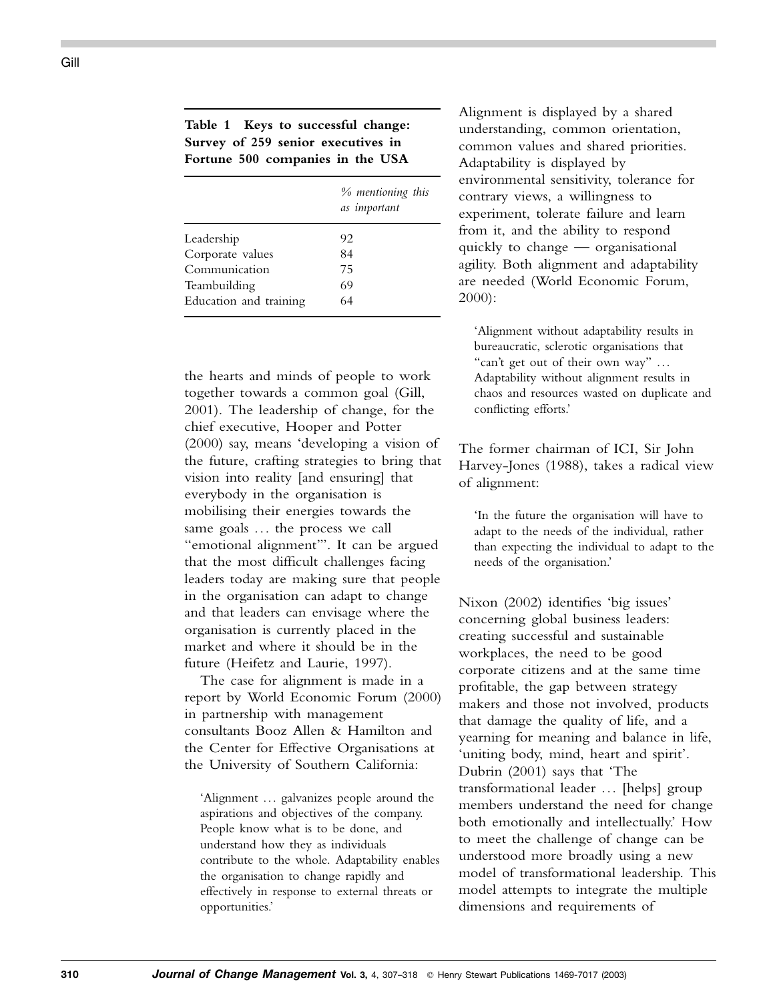| Table 1 Keys to successful change: |  |  |  |
|------------------------------------|--|--|--|
| Survey of 259 senior executives in |  |  |  |
| Fortune 500 companies in the USA   |  |  |  |

|                        | % mentioning this<br>as important |
|------------------------|-----------------------------------|
| Leadership             | 92                                |
| Corporate values       | 84                                |
| Communication          | 75                                |
| Teambuilding           | 69                                |
| Education and training | 64                                |
|                        |                                   |

the hearts and minds of people to work together towards a common goal (Gill, 2001). The leadership of change, for the chief executive, Hooper and Potter (2000) say, means 'developing a vision of the future, crafting strategies to bring that vision into reality [and ensuring] that everybody in the organisation is mobilising their energies towards the same goals ... the process we call "emotional alignment"'. It can be argued that the most difficult challenges facing leaders today are making sure that people in the organisation can adapt to change and that leaders can envisage where the organisation is currently placed in the market and where it should be in the future (Heifetz and Laurie, 1997).

The case for alignment is made in a report by World Economic Forum (2000) in partnership with management consultants Booz Allen & Hamilton and the Center for Effective Organisations at the University of Southern California:

'Alignment ... galvanizes people around the aspirations and objectives of the company. People know what is to be done, and understand how they as individuals contribute to the whole. Adaptability enables the organisation to change rapidly and effectively in response to external threats or opportunities.'

Alignment is displayed by a shared understanding, common orientation, common values and shared priorities. Adaptability is displayed by environmental sensitivity, tolerance for contrary views, a willingness to experiment, tolerate failure and learn from it, and the ability to respond quickly to change — organisational agility. Both alignment and adaptability are needed (World Economic Forum, 2000):

'Alignment without adaptability results in bureaucratic, sclerotic organisations that "can't get out of their own way" ... Adaptability without alignment results in chaos and resources wasted on duplicate and conflicting efforts.'

The former chairman of ICI, Sir John Harvey-Jones (1988), takes a radical view of alignment:

'In the future the organisation will have to adapt to the needs of the individual, rather than expecting the individual to adapt to the needs of the organisation.'

Nixon (2002) identifies 'big issues' concerning global business leaders: creating successful and sustainable workplaces, the need to be good corporate citizens and at the same time profitable, the gap between strategy makers and those not involved, products that damage the quality of life, and a yearning for meaning and balance in life, 'uniting body, mind, heart and spirit'. Dubrin (2001) says that 'The transformational leader ... [helps] group members understand the need for change both emotionally and intellectually.' How to meet the challenge of change can be understood more broadly using a new model of transformational leadership. This model attempts to integrate the multiple dimensions and requirements of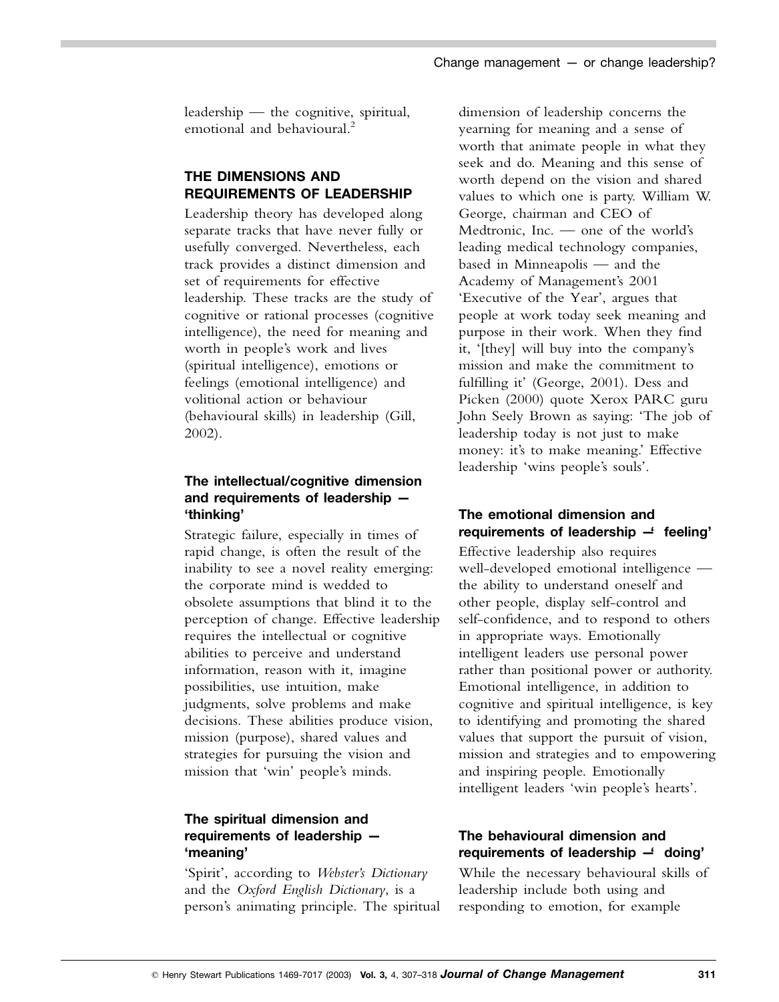leadership — the cognitive, spiritual, emotional and behavioural.<sup>2</sup>

# **THE DIMENSIONS AND REQUIREMENTS OF LEADERSHIP**

Leadership theory has developed along separate tracks that have never fully or usefully converged. Nevertheless, each track provides a distinct dimension and set of requirements for effective leadership. These tracks are the study of cognitive or rational processes (cognitive intelligence), the need for meaning and worth in people's work and lives (spiritual intelligence), emotions or feelings (emotional intelligence) and volitional action or behaviour (behavioural skills) in leadership (Gill, 2002).

## **The intellectual/cognitive dimension and requirements of leadership — 'thinking'**

Strategic failure, especially in times of rapid change, is often the result of the inability to see a novel reality emerging: the corporate mind is wedded to obsolete assumptions that blind it to the perception of change. Effective leadership requires the intellectual or cognitive abilities to perceive and understand information, reason with it, imagine possibilities, use intuition, make judgments, solve problems and make decisions. These abilities produce vision, mission (purpose), shared values and strategies for pursuing the vision and mission that 'win' people's minds.

## **The spiritual dimension and requirements of leadership — 'meaning'**

'Spirit', according to *Webster's Dictionary* and the *Oxford English Dictionary*, is a person's animating principle. The spiritual

dimension of leadership concerns the yearning for meaning and a sense of worth that animate people in what they seek and do. Meaning and this sense of worth depend on the vision and shared values to which one is party. William W. George, chairman and CEO of Medtronic, Inc. — one of the world's leading medical technology companies, based in Minneapolis — and the Academy of Management's 2001 'Executive of the Year', argues that people at work today seek meaning and purpose in their work. When they find it, '[they] will buy into the company's mission and make the commitment to fulfilling it' (George, 2001). Dess and Picken (2000) quote Xerox PARC guru John Seely Brown as saying: 'The job of leadership today is not just to make money: it's to make meaning.' Effective leadership 'wins people's souls'.

# **The emotional dimension and requirements of leadership — ' feeling'**

Effective leadership also requires well-developed emotional intelligence the ability to understand oneself and other people, display self-control and self-confidence, and to respond to others in appropriate ways. Emotionally intelligent leaders use personal power rather than positional power or authority. Emotional intelligence, in addition to cognitive and spiritual intelligence, is key to identifying and promoting the shared values that support the pursuit of vision, mission and strategies and to empowering and inspiring people. Emotionally intelligent leaders 'win people's hearts'.

# **The behavioural dimension and requirements of leadership — ' doing'**

While the necessary behavioural skills of leadership include both using and responding to emotion, for example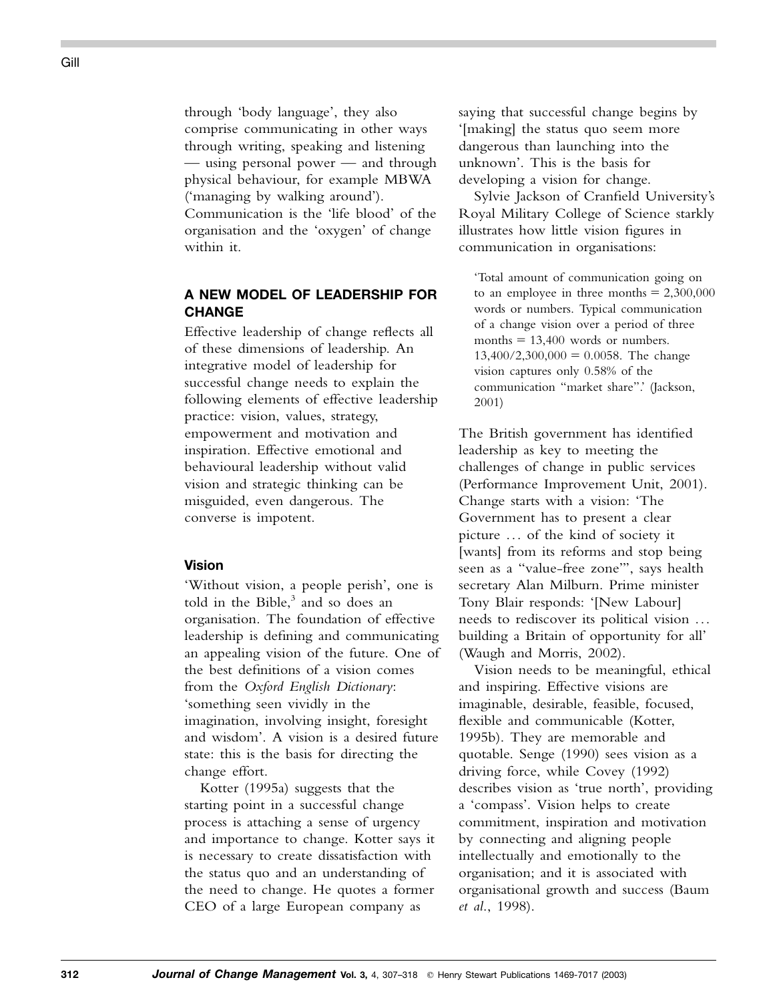through 'body language', they also comprise communicating in other ways through writing, speaking and listening — using personal power — and through physical behaviour, for example MBWA ('managing by walking around').

Communication is the 'life blood' of the organisation and the 'oxygen' of change within it.

### **A NEW MODEL OF LEADERSHIP FOR CHANGE**

Effective leadership of change reflects all of these dimensions of leadership. An integrative model of leadership for successful change needs to explain the following elements of effective leadership practice: vision, values, strategy, empowerment and motivation and inspiration. Effective emotional and behavioural leadership without valid vision and strategic thinking can be misguided, even dangerous. The converse is impotent.

#### **Vision**

'Without vision, a people perish', one is told in the Bible, $3$  and so does an organisation. The foundation of effective leadership is defining and communicating an appealing vision of the future. One of the best definitions of a vision comes from the *Oxford English Dictionary*: 'something seen vividly in the imagination, involving insight, foresight and wisdom'. A vision is a desired future state: this is the basis for directing the change effort.

Kotter (1995a) suggests that the starting point in a successful change process is attaching a sense of urgency and importance to change. Kotter says it is necessary to create dissatisfaction with the status quo and an understanding of the need to change. He quotes a former CEO of a large European company as

saying that successful change begins by '[making] the status quo seem more dangerous than launching into the unknown'. This is the basis for developing a vision for change.

Sylvie Jackson of Cranfield University's Royal Military College of Science starkly illustrates how little vision figures in communication in organisations:

'Total amount of communication going on to an employee in three months  $= 2,300,000$ words or numbers. Typical communication of a change vision over a period of three  $months = 13,400 words or numbers.$  $13,400/2,300,000 = 0.0058$ . The change vision captures only 0.58% of the communication "market share".' (Jackson, 2001)

The British government has identified leadership as key to meeting the challenges of change in public services (Performance Improvement Unit, 2001). Change starts with a vision: 'The Government has to present a clear picture ... of the kind of society it [wants] from its reforms and stop being seen as a ''value-free zone''', says health secretary Alan Milburn. Prime minister Tony Blair responds: '[New Labour] needs to rediscover its political vision ... building a Britain of opportunity for all' (Waugh and Morris, 2002).

Vision needs to be meaningful, ethical and inspiring. Effective visions are imaginable, desirable, feasible, focused, flexible and communicable (Kotter, 1995b). They are memorable and quotable. Senge (1990) sees vision as a driving force, while Covey (1992) describes vision as 'true north', providing a 'compass'. Vision helps to create commitment, inspiration and motivation by connecting and aligning people intellectually and emotionally to the organisation; and it is associated with organisational growth and success (Baum *et al*., 1998).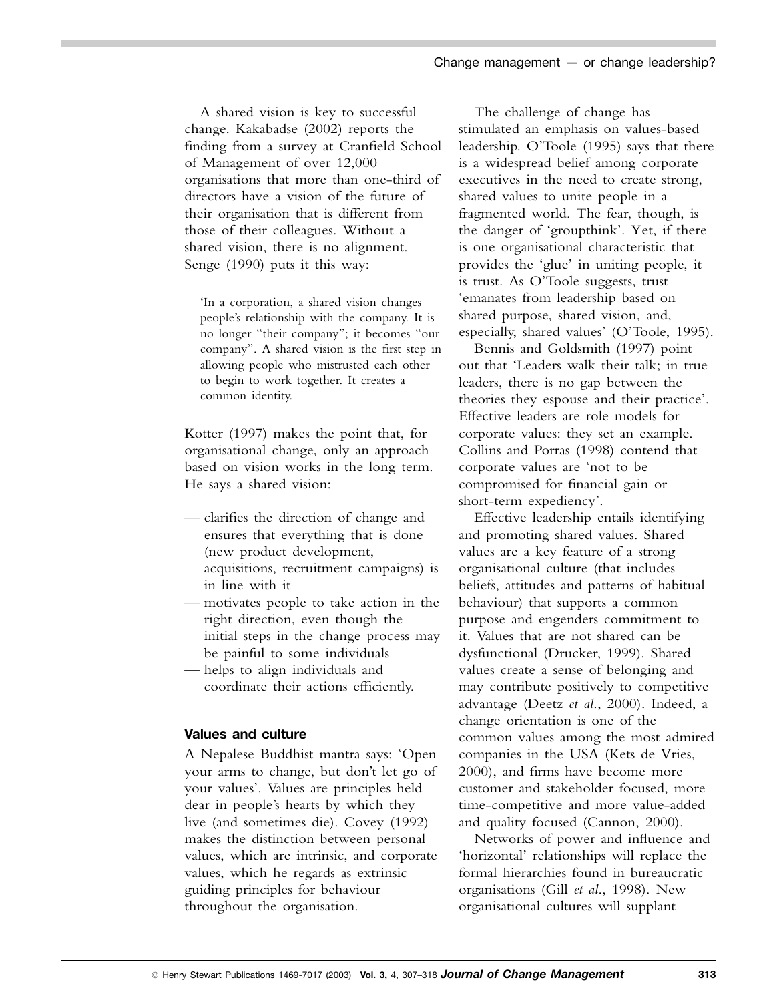A shared vision is key to successful change. Kakabadse (2002) reports the finding from a survey at Cranfield School of Management of over 12,000 organisations that more than one-third of directors have a vision of the future of their organisation that is different from those of their colleagues. Without a shared vision, there is no alignment. Senge (1990) puts it this way:

'In a corporation, a shared vision changes people's relationship with the company. It is no longer ''their company''; it becomes ''our company''. A shared vision is the first step in allowing people who mistrusted each other to begin to work together. It creates a common identity.

Kotter (1997) makes the point that, for organisational change, only an approach based on vision works in the long term. He says a shared vision:

- clarifies the direction of change and ensures that everything that is done (new product development, acquisitions, recruitment campaigns) is in line with it
- motivates people to take action in the right direction, even though the initial steps in the change process may be painful to some individuals
- helps to align individuals and coordinate their actions efficiently.

#### **Values and culture**

A Nepalese Buddhist mantra says: 'Open your arms to change, but don't let go of your values'. Values are principles held dear in people's hearts by which they live (and sometimes die). Covey (1992) makes the distinction between personal values, which are intrinsic, and corporate values, which he regards as extrinsic guiding principles for behaviour throughout the organisation.

The challenge of change has stimulated an emphasis on values-based leadership. O'Toole (1995) says that there is a widespread belief among corporate executives in the need to create strong, shared values to unite people in a fragmented world. The fear, though, is the danger of 'groupthink'. Yet, if there is one organisational characteristic that provides the 'glue' in uniting people, it is trust. As O'Toole suggests, trust 'emanates from leadership based on shared purpose, shared vision, and, especially, shared values' (O'Toole, 1995).

Bennis and Goldsmith (1997) point out that 'Leaders walk their talk; in true leaders, there is no gap between the theories they espouse and their practice'. Effective leaders are role models for corporate values: they set an example. Collins and Porras (1998) contend that corporate values are 'not to be compromised for financial gain or short-term expediency'.

Effective leadership entails identifying and promoting shared values. Shared values are a key feature of a strong organisational culture (that includes beliefs, attitudes and patterns of habitual behaviour) that supports a common purpose and engenders commitment to it. Values that are not shared can be dysfunctional (Drucker, 1999). Shared values create a sense of belonging and may contribute positively to competitive advantage (Deetz *et al*., 2000). Indeed, a change orientation is one of the common values among the most admired companies in the USA (Kets de Vries, 2000), and firms have become more customer and stakeholder focused, more time-competitive and more value-added and quality focused (Cannon, 2000).

Networks of power and influence and 'horizontal' relationships will replace the formal hierarchies found in bureaucratic organisations (Gill *et al*., 1998). New organisational cultures will supplant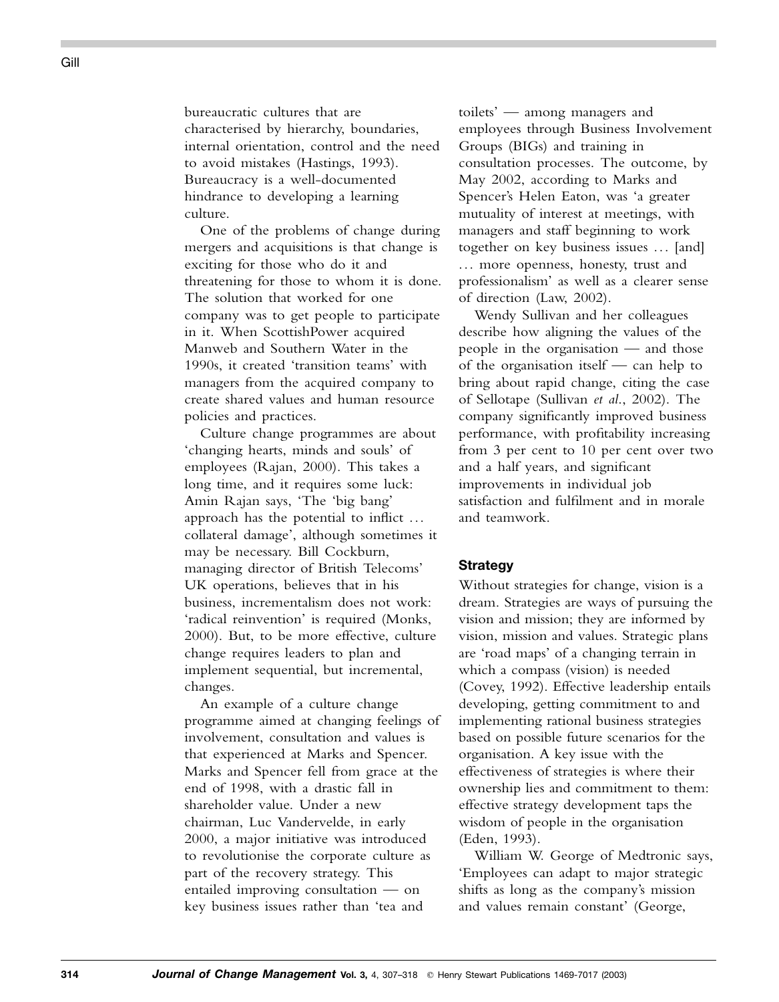bureaucratic cultures that are characterised by hierarchy, boundaries, internal orientation, control and the need to avoid mistakes (Hastings, 1993). Bureaucracy is a well-documented hindrance to developing a learning culture.

One of the problems of change during mergers and acquisitions is that change is exciting for those who do it and threatening for those to whom it is done. The solution that worked for one company was to get people to participate in it. When ScottishPower acquired Manweb and Southern Water in the 1990s, it created 'transition teams' with managers from the acquired company to create shared values and human resource policies and practices.

Culture change programmes are about 'changing hearts, minds and souls' of employees (Rajan, 2000). This takes a long time, and it requires some luck: Amin Rajan says, 'The 'big bang' approach has the potential to inflict ... collateral damage', although sometimes it may be necessary. Bill Cockburn, managing director of British Telecoms' UK operations, believes that in his business, incrementalism does not work: 'radical reinvention' is required (Monks, 2000). But, to be more effective, culture change requires leaders to plan and implement sequential, but incremental, changes.

An example of a culture change programme aimed at changing feelings of involvement, consultation and values is that experienced at Marks and Spencer. Marks and Spencer fell from grace at the end of 1998, with a drastic fall in shareholder value. Under a new chairman, Luc Vandervelde, in early 2000, a major initiative was introduced to revolutionise the corporate culture as part of the recovery strategy. This entailed improving consultation — on key business issues rather than 'tea and

toilets' — among managers and employees through Business Involvement Groups (BIGs) and training in consultation processes. The outcome, by May 2002, according to Marks and Spencer's Helen Eaton, was 'a greater mutuality of interest at meetings, with managers and staff beginning to work together on key business issues ... [and] ... more openness, honesty, trust and professionalism' as well as a clearer sense of direction (Law, 2002).

Wendy Sullivan and her colleagues describe how aligning the values of the people in the organisation — and those of the organisation itself — can help to bring about rapid change, citing the case of Sellotape (Sullivan *et al*., 2002). The company significantly improved business performance, with profitability increasing from 3 per cent to 10 per cent over two and a half years, and significant improvements in individual job satisfaction and fulfilment and in morale and teamwork.

#### **Strategy**

Without strategies for change, vision is a dream. Strategies are ways of pursuing the vision and mission; they are informed by vision, mission and values. Strategic plans are 'road maps' of a changing terrain in which a compass (vision) is needed (Covey, 1992). Effective leadership entails developing, getting commitment to and implementing rational business strategies based on possible future scenarios for the organisation. A key issue with the effectiveness of strategies is where their ownership lies and commitment to them: effective strategy development taps the wisdom of people in the organisation (Eden, 1993).

William W. George of Medtronic says, 'Employees can adapt to major strategic shifts as long as the company's mission and values remain constant' (George,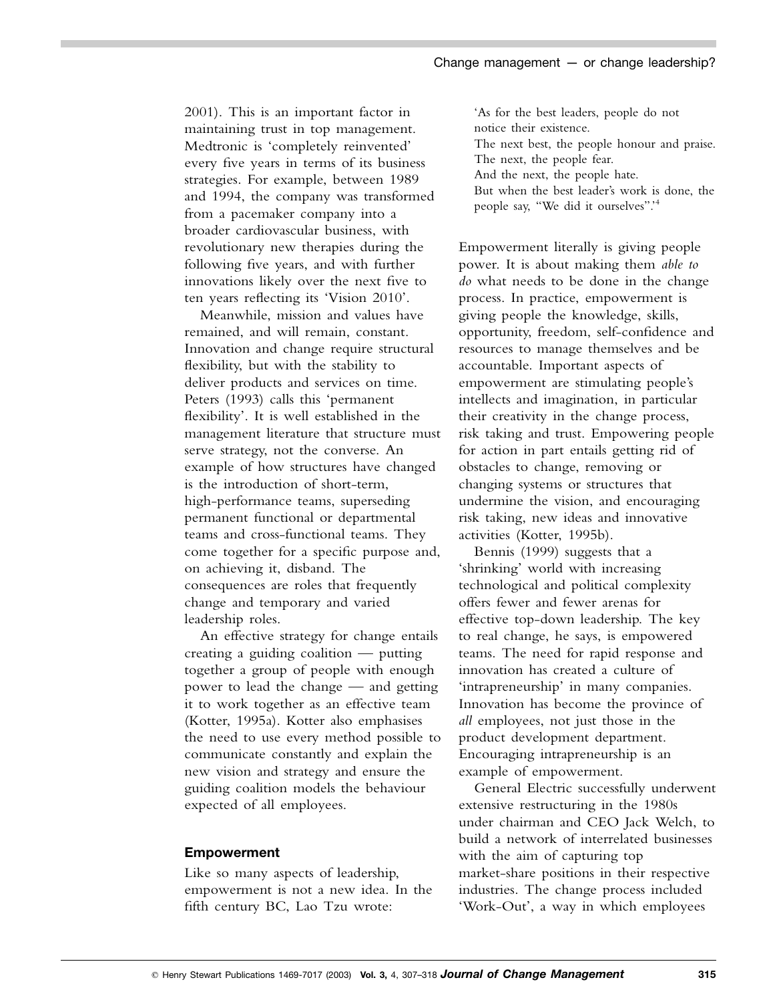2001). This is an important factor in maintaining trust in top management. Medtronic is 'completely reinvented' every five years in terms of its business strategies. For example, between 1989 and 1994, the company was transformed from a pacemaker company into a broader cardiovascular business, with revolutionary new therapies during the following five years, and with further innovations likely over the next five to ten years reflecting its 'Vision 2010'.

Meanwhile, mission and values have remained, and will remain, constant. Innovation and change require structural flexibility, but with the stability to deliver products and services on time. Peters (1993) calls this 'permanent flexibility'. It is well established in the management literature that structure must serve strategy, not the converse. An example of how structures have changed is the introduction of short-term, high-performance teams, superseding permanent functional or departmental teams and cross-functional teams. They come together for a specific purpose and, on achieving it, disband. The consequences are roles that frequently change and temporary and varied leadership roles.

An effective strategy for change entails creating a guiding coalition — putting together a group of people with enough power to lead the change — and getting it to work together as an effective team (Kotter, 1995a). Kotter also emphasises the need to use every method possible to communicate constantly and explain the new vision and strategy and ensure the guiding coalition models the behaviour expected of all employees.

#### **Empowerment**

Like so many aspects of leadership, empowerment is not a new idea. In the fifth century BC, Lao Tzu wrote:

'As for the best leaders, people do not notice their existence. The next best, the people honour and praise. The next, the people fear. And the next, the people hate. But when the best leader's work is done, the people say, ''We did it ourselves''.' 4

Empowerment literally is giving people power. It is about making them *able to do* what needs to be done in the change process. In practice, empowerment is giving people the knowledge, skills, opportunity, freedom, self-confidence and resources to manage themselves and be accountable. Important aspects of empowerment are stimulating people's intellects and imagination, in particular their creativity in the change process, risk taking and trust. Empowering people for action in part entails getting rid of obstacles to change, removing or changing systems or structures that undermine the vision, and encouraging risk taking, new ideas and innovative activities (Kotter, 1995b).

Bennis (1999) suggests that a 'shrinking' world with increasing technological and political complexity offers fewer and fewer arenas for effective top-down leadership. The key to real change, he says, is empowered teams. The need for rapid response and innovation has created a culture of 'intrapreneurship' in many companies. Innovation has become the province of *all* employees, not just those in the product development department. Encouraging intrapreneurship is an example of empowerment.

General Electric successfully underwent extensive restructuring in the 1980s under chairman and CEO Jack Welch, to build a network of interrelated businesses with the aim of capturing top market-share positions in their respective industries. The change process included 'Work-Out', a way in which employees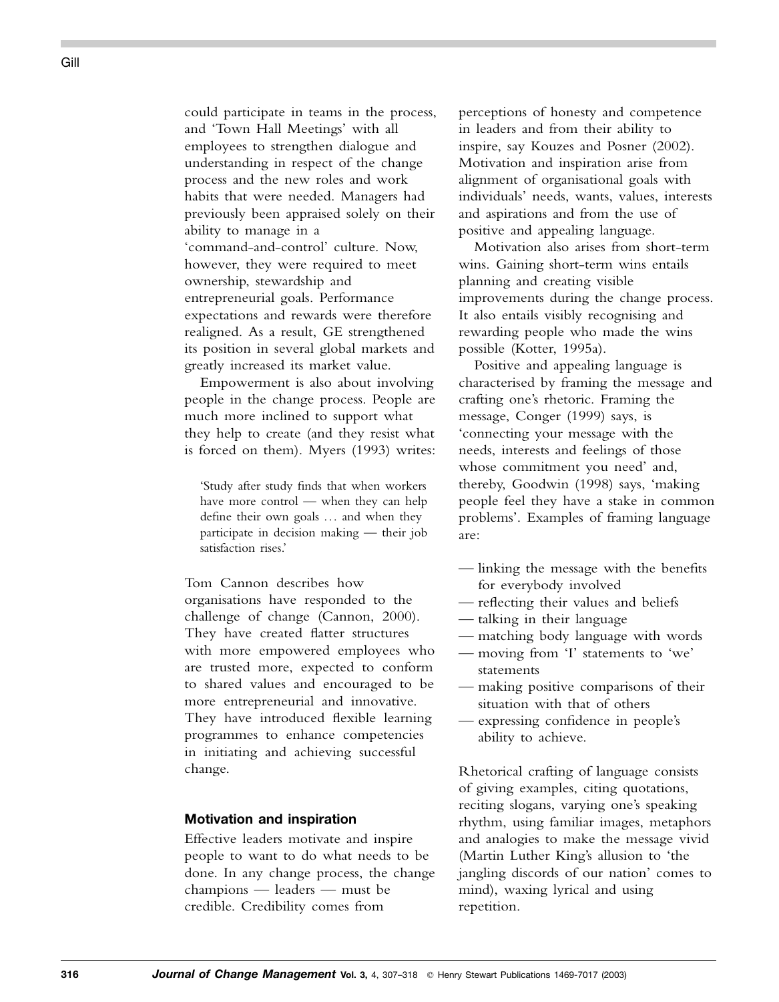could participate in teams in the process, and 'Town Hall Meetings' with all employees to strengthen dialogue and understanding in respect of the change process and the new roles and work habits that were needed. Managers had previously been appraised solely on their ability to manage in a 'command-and-control' culture. Now, however, they were required to meet ownership, stewardship and entrepreneurial goals. Performance expectations and rewards were therefore realigned. As a result, GE strengthened its position in several global markets and greatly increased its market value.

Empowerment is also about involving people in the change process. People are much more inclined to support what they help to create (and they resist what is forced on them). Myers (1993) writes:

'Study after study finds that when workers have more control — when they can help define their own goals ... and when they participate in decision making — their job satisfaction rises.'

Tom Cannon describes how organisations have responded to the challenge of change (Cannon, 2000). They have created flatter structures with more empowered employees who are trusted more, expected to conform to shared values and encouraged to be more entrepreneurial and innovative. They have introduced flexible learning programmes to enhance competencies in initiating and achieving successful change.

#### **Motivation and inspiration**

Effective leaders motivate and inspire people to want to do what needs to be done. In any change process, the change champions — leaders — must be credible. Credibility comes from

perceptions of honesty and competence in leaders and from their ability to inspire, say Kouzes and Posner (2002). Motivation and inspiration arise from alignment of organisational goals with individuals' needs, wants, values, interests and aspirations and from the use of positive and appealing language.

Motivation also arises from short-term wins. Gaining short-term wins entails planning and creating visible improvements during the change process. It also entails visibly recognising and rewarding people who made the wins possible (Kotter, 1995a).

Positive and appealing language is characterised by framing the message and crafting one's rhetoric. Framing the message, Conger (1999) says, is 'connecting your message with the needs, interests and feelings of those whose commitment you need' and, thereby, Goodwin (1998) says, 'making people feel they have a stake in common problems'. Examples of framing language are:

- linking the message with the benefits for everybody involved
- reflecting their values and beliefs
- talking in their language
- matching body language with words
- moving from 'I' statements to 'we' statements
- making positive comparisons of their situation with that of others
- expressing confidence in people's ability to achieve.

Rhetorical crafting of language consists of giving examples, citing quotations, reciting slogans, varying one's speaking rhythm, using familiar images, metaphors and analogies to make the message vivid (Martin Luther King's allusion to 'the jangling discords of our nation' comes to mind), waxing lyrical and using repetition.

Gill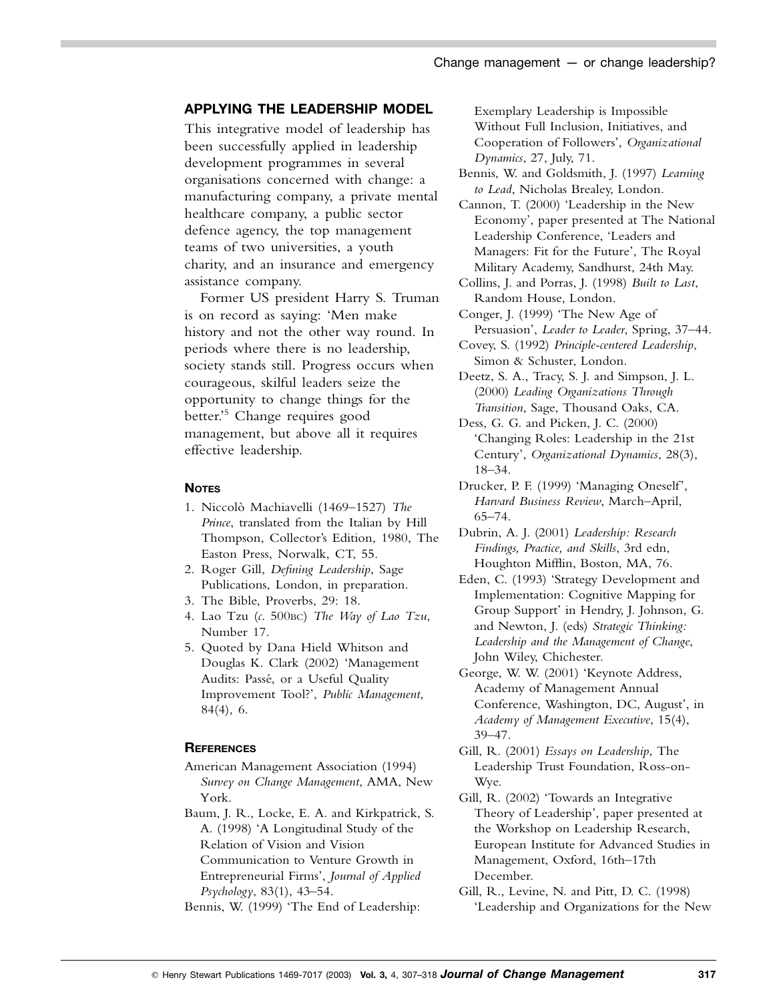#### **APPLYING THE LEADERSHIP MODEL**

This integrative model of leadership has been successfully applied in leadership development programmes in several organisations concerned with change: a manufacturing company, a private mental healthcare company, a public sector defence agency, the top management teams of two universities, a youth charity, and an insurance and emergency assistance company.

Former US president Harry S. Truman is on record as saying: 'Men make history and not the other way round. In periods where there is no leadership, society stands still. Progress occurs when courageous, skilful leaders seize the opportunity to change things for the better.' <sup>5</sup> Change requires good management, but above all it requires effective leadership.

#### **NOTES**

- 1. Niccolo` Machiavelli (1469–1527) *The Prince*, translated from the Italian by Hill Thompson, Collector's Edition, 1980, The Easton Press, Norwalk, CT, 55.
- 2. Roger Gill, *Defining Leadership*, Sage Publications, London, in preparation.
- 3. The Bible, Proverbs, 29: 18.
- 4. Lao Tzu (*c*. 500BC) *The Way of Lao Tzu*, Number 17.
- 5. Quoted by Dana Hield Whitson and Douglas K. Clark (2002) 'Management Audits: Passé, or a Useful Quality Improvement Tool?', *Public Management*, 84(4), 6.

#### **REFERENCES**

- American Management Association (1994) *Survey on Change Management*, AMA, New York.
- Baum, J. R., Locke, E. A. and Kirkpatrick, S. A. (1998) 'A Longitudinal Study of the Relation of Vision and Vision Communication to Venture Growth in Entrepreneurial Firms', *Journal of Applied Psychology*, 83(1), 43–54.
- Bennis, W. (1999) 'The End of Leadership:

Exemplary Leadership is Impossible Without Full Inclusion, Initiatives, and Cooperation of Followers', *Organizational Dynamics*, 27, July, 71.

- Bennis, W. and Goldsmith, J. (1997) *Learning to Lead*, Nicholas Brealey, London.
- Cannon, T. (2000) 'Leadership in the New Economy', paper presented at The National Leadership Conference, 'Leaders and Managers: Fit for the Future', The Royal Military Academy, Sandhurst, 24th May.
- Collins, J. and Porras, J. (1998) *Built to Last*, Random House, London.
- Conger, J. (1999) 'The New Age of Persuasion', *Leader to Leader*, Spring, 37–44.
- Covey, S. (1992) *Principle-centered Leadership*, Simon & Schuster, London.

Deetz, S. A., Tracy, S. J. and Simpson, J. L. (2000) *Leading Organizations Through Transition*, Sage, Thousand Oaks, CA.

Dess, G. G. and Picken, J. C. (2000) 'Changing Roles: Leadership in the 21st Century', *Organizational Dynamics*, 28(3), 18–34.

- Drucker, P. F. (1999) 'Managing Oneself', *Harvard Business Review*, March–April, 65–74.
- Dubrin, A. J. (2001) *Leadership: Research Findings, Practice, and Skills*, 3rd edn, Houghton Mifflin, Boston, MA, 76.
- Eden, C. (1993) 'Strategy Development and Implementation: Cognitive Mapping for Group Support' in Hendry, J. Johnson, G. and Newton, J. (eds) *Strategic Thinking: Leadership and the Management of Change*, John Wiley, Chichester.
- George, W. W. (2001) 'Keynote Address, Academy of Management Annual Conference, Washington, DC, August', in *Academy of Management Executive*, 15(4), 39–47.
- Gill, R. (2001) *Essays on Leadership*, The Leadership Trust Foundation, Ross-on-Wye.

Gill, R. (2002) 'Towards an Integrative Theory of Leadership', paper presented at the Workshop on Leadership Research, European Institute for Advanced Studies in Management, Oxford, 16th–17th December.

Gill, R., Levine, N. and Pitt, D. C. (1998) 'Leadership and Organizations for the New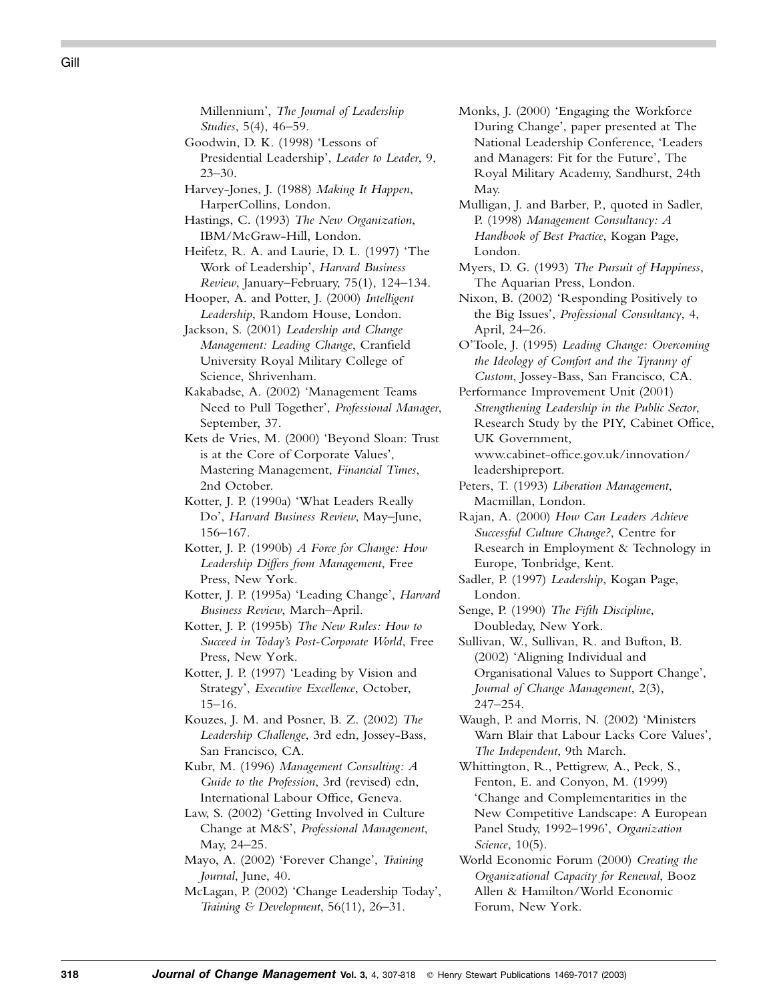- Millennium', *The Journal of Leadership Studies*, 5(4), 46–59.
- Goodwin, D. K. (1998) 'Lessons of Presidential Leadership', *Leader to Leader*, 9, 23–30.
- Harvey-Jones, J. (1988) *Making It Happen*, HarperCollins, London.
- Hastings, C. (1993) *The New Organization*, IBM/McGraw-Hill, London.
- Heifetz, R. A. and Laurie, D. L. (1997) 'The Work of Leadership', *Harvard Business Review*, January–February, 75(1), 124–134.
- Hooper, A. and Potter, J. (2000) *Intelligent Leadership*, Random House, London.
- Jackson, S. (2001) *Leadership and Change Management: Leading Change*, Cranfield University Royal Military College of Science, Shrivenham.
- Kakabadse, A. (2002) 'Management Teams Need to Pull Together', *Professional Manager*, September, 37.
- Kets de Vries, M. (2000) 'Beyond Sloan: Trust is at the Core of Corporate Values', Mastering Management, *Financial Times*, 2nd October.
- Kotter, J. P. (1990a) 'What Leaders Really Do', *Harvard Business Review*, May–June, 156–167.
- Kotter, J. P. (1990b) *A Force for Change: How Leadership Differs from Management*, Free Press, New York.
- Kotter, J. P. (1995a) 'Leading Change', *Harvard Business Review*, March–April.
- Kotter, J. P. (1995b) *The New Rules: How to Succeed in Today's Post-Corporate World*, Free Press, New York.
- Kotter, J. P. (1997) 'Leading by Vision and Strategy', *Executive Excellence*, October, 15–16.
- Kouzes, J. M. and Posner, B. Z. (2002) *The Leadership Challenge*, 3rd edn, Jossey-Bass, San Francisco, CA.
- Kubr, M. (1996) *Management Consulting: A Guide to the Profession*, 3rd (revised) edn, International Labour Office, Geneva.
- Law, S. (2002) 'Getting Involved in Culture Change at M&S', *Professional Management*, May, 24–25.
- Mayo, A. (2002) 'Forever Change', *Training Journal*, June, 40.
- McLagan, P. (2002) 'Change Leadership Today', *Training & Development*, 56(11), 26–31.
- Monks, J. (2000) 'Engaging the Workforce During Change', paper presented at The National Leadership Conference, 'Leaders and Managers: Fit for the Future', The Royal Military Academy, Sandhurst, 24th May.
- Mulligan, J. and Barber, P., quoted in Sadler, P. (1998) *Management Consultancy: A Handbook of Best Practice*, Kogan Page, London.
- Myers, D. G. (1993) *The Pursuit of Happiness*, The Aquarian Press, London.
- Nixon, B. (2002) 'Responding Positively to the Big Issues', *Professional Consultancy*, 4, April, 24–26.
- O'Toole, J. (1995) *Leading Change: Overcoming the Ideology of Comfort and the Tyranny of Custom*, Jossey-Bass, San Francisco, CA.
- Performance Improvement Unit (2001) *Strengthening Leadership in the Public Sector*, Research Study by the PIY, Cabinet Office, UK Government,

www.cabinet-office.gov.uk/innovation/ leadershipreport.

- Peters, T. (1993) *Liberation Management*, Macmillan, London.
- Rajan, A. (2000) *How Can Leaders Achieve Successful Culture Change?*, Centre for Research in Employment & Technology in Europe, Tonbridge, Kent.
- Sadler, P. (1997) *Leadership*, Kogan Page, London.
- Senge, P. (1990) *The Fifth Discipline*, Doubleday, New York.
- Sullivan, W., Sullivan, R. and Bufton, B. (2002) 'Aligning Individual and Organisational Values to Support Change', *Journal of Change Management*, 2(3), 247–254.
- Waugh, P. and Morris, N. (2002) 'Ministers Warn Blair that Labour Lacks Core Values', *The Independent*, 9th March.
- Whittington, R., Pettigrew, A., Peck, S., Fenton, E. and Conyon, M. (1999) 'Change and Complementarities in the New Competitive Landscape: A European Panel Study, 1992–1996', *Organization Science*, 10(5).
- World Economic Forum (2000) *Creating the Organizational Capacity for Renewal*, Booz Allen & Hamilton/World Economic Forum, New York.